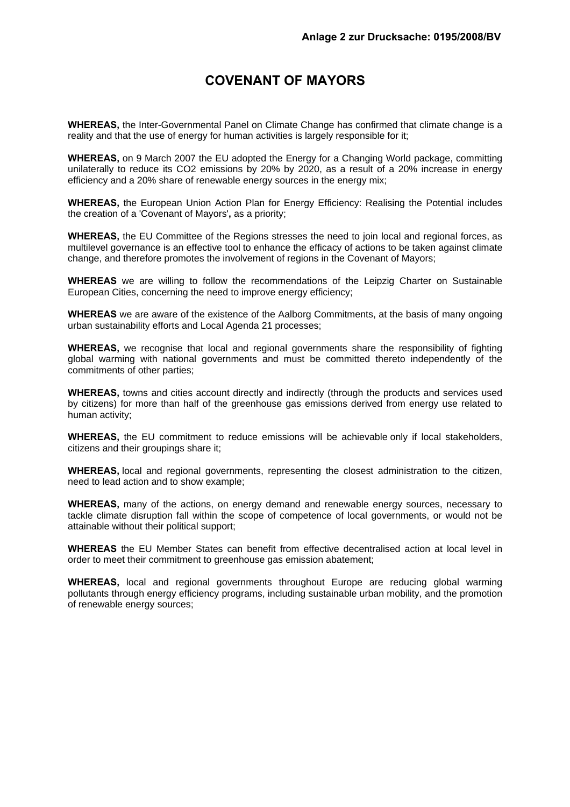# **COVENANT OF MAYORS**

**WHEREAS,** the Inter-Governmental Panel on Climate Change has confirmed that climate change is a reality and that the use of energy for human activities is largely responsible for it;

**WHEREAS,** on 9 March 2007 the EU adopted the Energy for a Changing World package, committing unilaterally to reduce its CO2 emissions by 20% by 2020, as a result of a 20% increase in energy efficiency and a 20% share of renewable energy sources in the energy mix;

**WHEREAS,** the European Union Action Plan for Energy Efficiency: Realising the Potential includes the creation of a 'Covenant of Mayors'**,** as a priority;

**WHEREAS,** the EU Committee of the Regions stresses the need to join local and regional forces, as multilevel governance is an effective tool to enhance the efficacy of actions to be taken against climate change, and therefore promotes the involvement of regions in the Covenant of Mayors;

**WHEREAS** we are willing to follow the recommendations of the Leipzig Charter on Sustainable European Cities, concerning the need to improve energy efficiency;

**WHEREAS** we are aware of the existence of the Aalborg Commitments, at the basis of many ongoing urban sustainability efforts and Local Agenda 21 processes;

**WHEREAS,** we recognise that local and regional governments share the responsibility of fighting global warming with national governments and must be committed thereto independently of the commitments of other parties;

**WHEREAS,** towns and cities account directly and indirectly (through the products and services used by citizens) for more than half of the greenhouse gas emissions derived from energy use related to human activity;

**WHEREAS,** the EU commitment to reduce emissions will be achievable only if local stakeholders, citizens and their groupings share it;

**WHEREAS,** local and regional governments, representing the closest administration to the citizen, need to lead action and to show example;

**WHEREAS,** many of the actions, on energy demand and renewable energy sources, necessary to tackle climate disruption fall within the scope of competence of local governments, or would not be attainable without their political support;

**WHEREAS** the EU Member States can benefit from effective decentralised action at local level in order to meet their commitment to greenhouse gas emission abatement;

**WHEREAS,** local and regional governments throughout Europe are reducing global warming pollutants through energy efficiency programs, including sustainable urban mobility, and the promotion of renewable energy sources;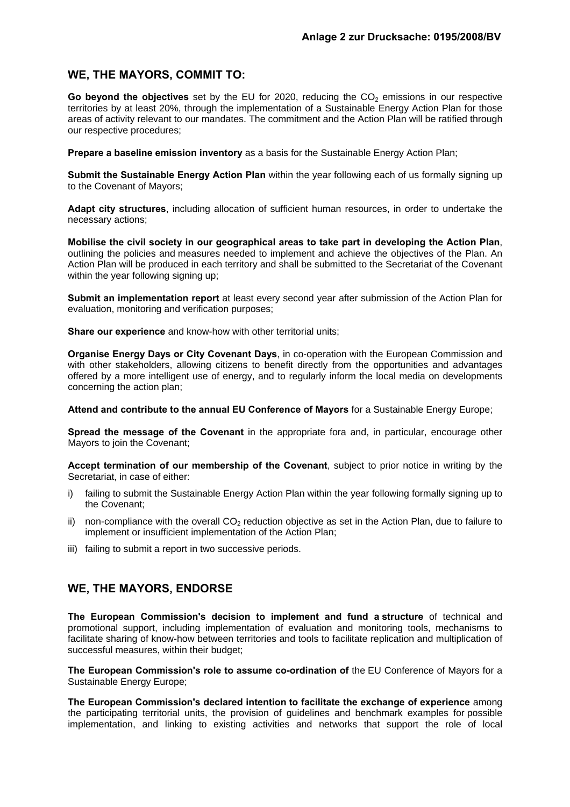## **WE, THE MAYORS, COMMIT TO:**

Go beyond the objectives set by the EU for 2020, reducing the CO<sub>2</sub> emissions in our respective territories by at least 20%, through the implementation of a Sustainable Energy Action Plan for those areas of activity relevant to our mandates. The commitment and the Action Plan will be ratified through our respective procedures;

**Prepare a baseline emission inventory** as a basis for the Sustainable Energy Action Plan;

**Submit the Sustainable Energy Action Plan** within the year following each of us formally signing up to the Covenant of Mayors;

**Adapt city structures**, including allocation of sufficient human resources, in order to undertake the necessary actions;

**Mobilise the civil society in our geographical areas to take part in developing the Action Plan**, outlining the policies and measures needed to implement and achieve the objectives of the Plan. An Action Plan will be produced in each territory and shall be submitted to the Secretariat of the Covenant within the year following signing up;

**Submit an implementation report** at least every second year after submission of the Action Plan for evaluation, monitoring and verification purposes;

**Share our experience** and know-how with other territorial units;

**Organise Energy Days or City Covenant Days**, in co-operation with the European Commission and with other stakeholders, allowing citizens to benefit directly from the opportunities and advantages offered by a more intelligent use of energy, and to regularly inform the local media on developments concerning the action plan;

**Attend and contribute to the annual EU Conference of Mayors** for a Sustainable Energy Europe;

**Spread the message of the Covenant** in the appropriate fora and, in particular, encourage other Mayors to join the Covenant;

**Accept termination of our membership of the Covenant**, subject to prior notice in writing by the Secretariat, in case of either:

- i) failing to submit the Sustainable Energy Action Plan within the year following formally signing up to the Covenant;
- ii) non-compliance with the overall  $CO<sub>2</sub>$  reduction objective as set in the Action Plan, due to failure to implement or insufficient implementation of the Action Plan;
- iii) failing to submit a report in two successive periods.

# **WE, THE MAYORS, ENDORSE**

**The European Commission's decision to implement and fund a structure** of technical and promotional support, including implementation of evaluation and monitoring tools, mechanisms to facilitate sharing of know-how between territories and tools to facilitate replication and multiplication of successful measures, within their budget;

**The European Commission's role to assume co-ordination of** the EU Conference of Mayors for a Sustainable Energy Europe;

**The European Commission's declared intention to facilitate the exchange of experience** among the participating territorial units, the provision of guidelines and benchmark examples for possible implementation, and linking to existing activities and networks that support the role of local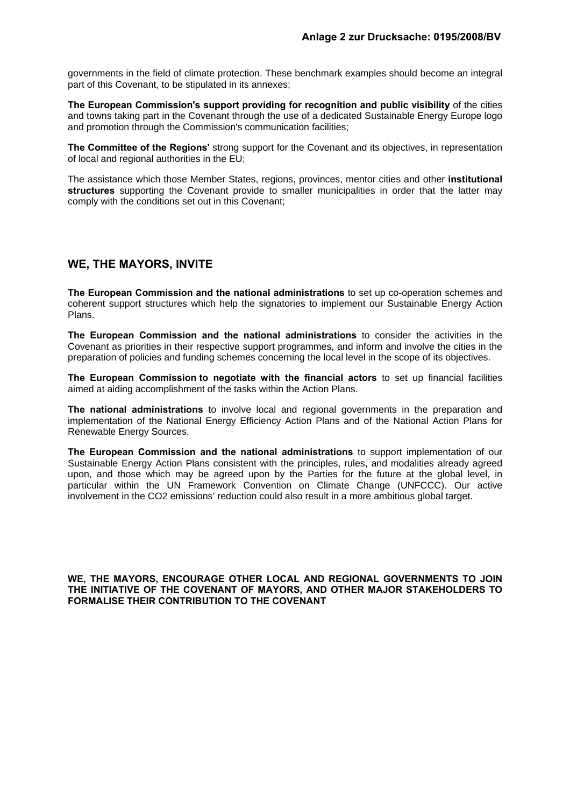governments in the field of climate protection. These benchmark examples should become an integral part of this Covenant, to be stipulated in its annexes;

**The European Commission's support providing for recognition and public visibility** of the cities and towns taking part in the Covenant through the use of a dedicated Sustainable Energy Europe logo and promotion through the Commission's communication facilities;

**The Committee of the Regions'** strong support for the Covenant and its objectives, in representation of local and regional authorities in the EU;

The assistance which those Member States, regions, provinces, mentor cities and other **institutional structures** supporting the Covenant provide to smaller municipalities in order that the latter may comply with the conditions set out in this Covenant;

#### **WE, THE MAYORS, INVITE**

**The European Commission and the national administrations** to set up co-operation schemes and coherent support structures which help the signatories to implement our Sustainable Energy Action Plans.

**The European Commission and the national administrations** to consider the activities in the Covenant as priorities in their respective support programmes, and inform and involve the cities in the preparation of policies and funding schemes concerning the local level in the scope of its objectives.

**The European Commission to negotiate with the financial actors** to set up financial facilities aimed at aiding accomplishment of the tasks within the Action Plans.

**The national administrations** to involve local and regional governments in the preparation and implementation of the National Energy Efficiency Action Plans and of the National Action Plans for Renewable Energy Sources.

**The European Commission and the national administrations** to support implementation of our Sustainable Energy Action Plans consistent with the principles, rules, and modalities already agreed upon, and those which may be agreed upon by the Parties for the future at the global level, in particular within the UN Framework Convention on Climate Change (UNFCCC). Our active involvement in the CO2 emissions' reduction could also result in a more ambitious global target.

**WE, THE MAYORS, ENCOURAGE OTHER LOCAL AND REGIONAL GOVERNMENTS TO JOIN THE INITIATIVE OF THE COVENANT OF MAYORS, AND OTHER MAJOR STAKEHOLDERS TO FORMALISE THEIR CONTRIBUTION TO THE COVENANT**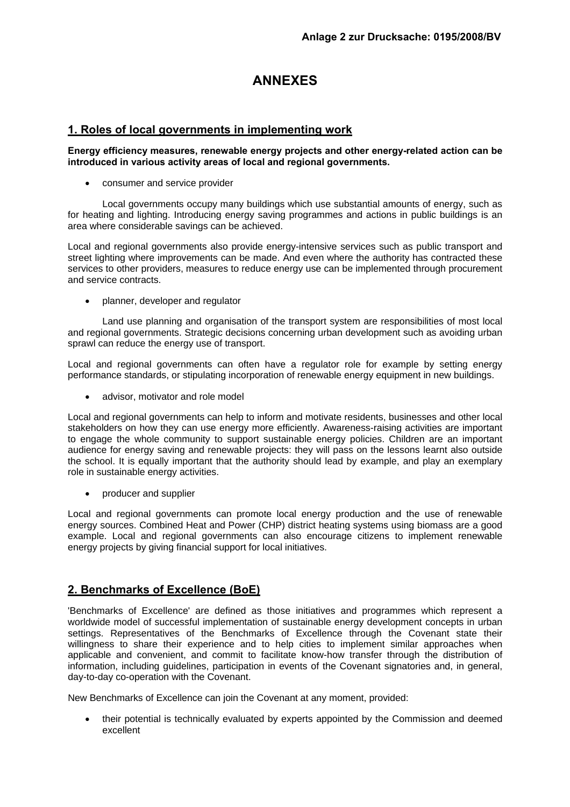# **ANNEXES**

## **1. Roles of local governments in implementing work**

#### **Energy efficiency measures, renewable energy projects and other energy-related action can be introduced in various activity areas of local and regional governments.**

• consumer and service provider

 Local governments occupy many buildings which use substantial amounts of energy, such as for heating and lighting. Introducing energy saving programmes and actions in public buildings is an area where considerable savings can be achieved.

Local and regional governments also provide energy-intensive services such as public transport and street lighting where improvements can be made. And even where the authority has contracted these services to other providers, measures to reduce energy use can be implemented through procurement and service contracts.

• planner, developer and regulator

 Land use planning and organisation of the transport system are responsibilities of most local and regional governments. Strategic decisions concerning urban development such as avoiding urban sprawl can reduce the energy use of transport.

Local and regional governments can often have a regulator role for example by setting energy performance standards, or stipulating incorporation of renewable energy equipment in new buildings.

• advisor, motivator and role model

Local and regional governments can help to inform and motivate residents, businesses and other local stakeholders on how they can use energy more efficiently. Awareness-raising activities are important to engage the whole community to support sustainable energy policies. Children are an important audience for energy saving and renewable projects: they will pass on the lessons learnt also outside the school. It is equally important that the authority should lead by example, and play an exemplary role in sustainable energy activities.

• producer and supplier

Local and regional governments can promote local energy production and the use of renewable energy sources. Combined Heat and Power (CHP) district heating systems using biomass are a good example. Local and regional governments can also encourage citizens to implement renewable energy projects by giving financial support for local initiatives.

# **2. Benchmarks of Excellence (BoE)**

'Benchmarks of Excellence' are defined as those initiatives and programmes which represent a worldwide model of successful implementation of sustainable energy development concepts in urban settings. Representatives of the Benchmarks of Excellence through the Covenant state their willingness to share their experience and to help cities to implement similar approaches when applicable and convenient, and commit to facilitate know-how transfer through the distribution of information, including guidelines, participation in events of the Covenant signatories and, in general, day-to-day co-operation with the Covenant.

New Benchmarks of Excellence can join the Covenant at any moment, provided:

• their potential is technically evaluated by experts appointed by the Commission and deemed excellent